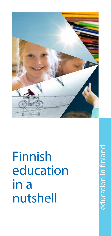

Finnish education in a nutshell

education in finland education in finland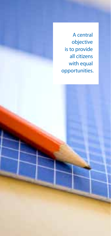A central objective is to provide all citizens with equal opportunities.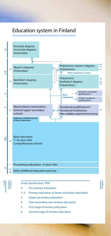### Education system in Finland



6 Second stage of tertiary education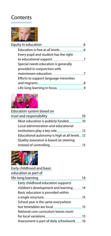# **Contents**



| Equity in education                    | 6 |
|----------------------------------------|---|
| Education is free at all levels.       | 6 |
| Every pupil and student has the right  |   |
| to educational support                 |   |
| Special needs education is generally   |   |
| provided in conjunction with           |   |
| mainstream education                   |   |
| Efforts to support language minorities |   |
| and migrants                           | ጸ |
| Life-long learning in focus            |   |
|                                        |   |



| Education system based on                     |    |
|-----------------------------------------------|----|
| trust and responsibility                      | 10 |
| Most education is publicly funded             | 10 |
| Local administration and educational          |    |
| institutions play a key role.                 | 12 |
| Educational autonomy is high at all levels 12 |    |
| Quality assurance is based on steering        |    |
| instead of controlling                        | 13 |



| Early childhood and basic              |    |
|----------------------------------------|----|
| education as part of                   |    |
| life-long learning                     | 14 |
| Early childhood education supports     |    |
| children's development and learning    | 14 |
| Basic education is provided within     |    |
| a single structure.                    | 15 |
| School year is the same everywhere     |    |
| but timetables are local               | 15 |
| National core curriculum leaves room   |    |
| for local variations                   | 15 |
| Assessment is part of daily schoolwork | 16 |
|                                        |    |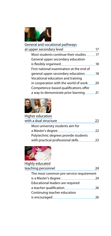

| General and vocational pathways          |    |
|------------------------------------------|----|
| at upper secondary level                 | 17 |
| Most students continue their studies     | 17 |
| General upper secondary education        |    |
| is flexibly organised                    | 18 |
| First national examination at the end of |    |
| general upper secondary education        | 18 |
| Vocational education and training        |    |
| in cooperation with the world of work    | ንበ |
| Competence-based qualifications offer    |    |
| a way to demonstrate prior learning      |    |
|                                          |    |



| Higher education                     |    |
|--------------------------------------|----|
| with a dual structure                | フフ |
| Most university students aim for     |    |
| a Master's degree.                   | つつ |
| Polytechnic degrees provide students |    |
| with practical professional skills.  | วว |



| Highly educated                         |    |
|-----------------------------------------|----|
| teaching personnel                      | 24 |
| The most common pre-service requirement |    |
| is a Master's degree                    | 74 |
| Educational leaders are required        |    |
| a teacher qualification                 | 26 |
| Continuing teacher education            |    |
| is encouraged                           |    |
|                                         |    |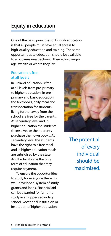## Equity in education

One of the basic principles of Finnish education is that all people must have equal access to high-quality education and training. The same opportunities to education should be available to all citizens irrespective of their ethnic origin, age, wealth or where they live.

#### Education is free at all levels

In Finland education is free at all levels from pre-primary to higher education. In preprimary and basic education the textbooks, daily meal and transportation for students living further away from the school are free for the parents. At secondary level and in higher education the students themselves or their parents purchase their own books. At secondary level the students have the right to a free meal and in higher education meals are subsidised by the state. Adult education is the only form of education that may require payment.

To ensure the opportunities to study for everyone there is a well-developed system of study grants and loans. Financial aid can be awarded for full-time study in an upper secondary school, vocational institution or institution of higher education.



The potential of every individual should be maximised.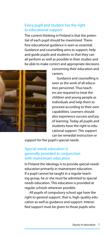#### Every pupil and student has the right to educational support

The current thinking in Finland is that the potential of each pupil should be maximised. Therefore educational guidance is seen as essential. Guidance and counselling aims to support, help and guide pupils and students so that they can all perform as well as possible in their studies and be able to make correct and appropriate decisions



concerning their education and careers.

Guidance and counselling is seen as the work of all education personnel. Thus teachers are required to treat the children and young people as individuals and help them to proceed according to their own capabilities. Learners should also experience success and joy of learning. Today all pupils and students have the right to educational support. This support can be remedial instruction or

support for the pupil's special needs.

#### Special needs education is generally provided in conjunction with mainstream education

In Finland the ideology is to provide special needs education primarily in mainstream education. If a pupil cannot be taught in a regular teaching group, he or she must be admitted to special needs education. This education is provided at regular schools wherever possible.

All pupils of compulsory school age have the right to general support, that is, high-quality education as well as guidance and support. Intensified support must be given to those pupils who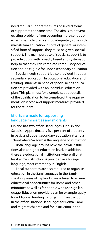need regular support measures or several forms of support at the same time. The aim is to prevent existing problems from becoming more serious or expansive. If children cannot adequately cope with mainstream education in spite of general or intensified form of support, they must be given special support. The main purpose of special support is to provide pupils with broadly based and systematic help so that they can complete compulsory education and be eligible for upper secondary education.

Special needs support is also provided in upper secondary education. In vocational education and training, students in need of special needs education are provided with an individual education plan. This plan must for example set out details of the qualification to be completed, the requirements observed and support measures provided for the student.

#### Efforts are made for supporting language minorities and migrants

Finland has two official languages, Finnish and Swedish. Approximately five per cent of students in basic and upper secondary education attend a school where Swedish is the language of instruction.

Both language groups have their own institutions also at higher education level. In addition there are educational institutions where all or at least some instruction is provided in a foreign language, most commonly in English.

Local authorities are also required to organise education in the Sami language in the Samispeaking areas of Lapland. Care is taken to ensure educational opportunities for Roma and other minorities as well as for people who use sign language. Education providers can for example apply for additional funding for organising instruction in the official national languages for Roma, Sami and migrant children and for instruction in the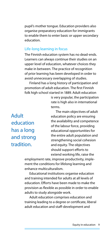pupil's mother tongue. Education providers also organise preparatory education for immigrants to enable them to enter basic or upper secondary education.

#### Life-long learning in focus

The Finnish education system has no dead-ends. Learners can always continue their studies on an upper level of education, whatever choices they make in between. The practice of recognition of prior learning has been developed in order to avoid unnecessary overlapping of studies.

Finland has a long history of participation and promotion of adult education. The first Finnish folk high school started in 1889. Adult education

> is very popular, the participation rate is high also in international terms.

> The main objectives of adult education policy are ensuring the availability and competence of the labour force, providing educational opportunities for the entire adult population and strengthening social cohesion and equity. The objectives should support efforts to extend working life, raise the

employment rate, improve productivity, implement the conditions for lifelong learning and enhance multiculturalism.

Educational institutions organise education and training intended for adults at all levels of education. Efforts have been made to make the provision as flexible as possible in order to enable adults to study alongside work.

Adult education comprises education and training leading to a degree or certificate, liberal adult education and staff-development and

Adult education has a long and strong tradition.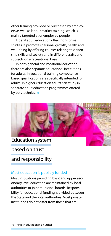other training provided or purchased by employers as well as labour market training, which is mainly targeted at unemployed people.

Liberal adult education offers non-formal studies. It promotes personal growth, health and well-being by offering courses relating to citizenship skills and society and in different crafts and subjects on a recreational basis.

In both general and vocational education, there are also separate educational institutions for adults. In vocational training competencebased qualifications are specifically intended for adults. In higher education adults can study in separate adult education programmes offered by polytechnics.  $\bullet$ 



Education system

based on trust

and responsibility

#### Most education is publicly funded

Most institutions providing basic and upper secondary level education are maintained by local authorities or joint municipal boards. Responsibility for educational funding is divided between the State and the local authorities. Most private institutions do not differ from those that are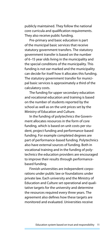publicly maintained. They follow the national core curricula and qualification requirements. They also receive public funding.

Pre-primary and basic education is part of the municipal basic services that receive statutory government transfers. The statutory government transfer is based on the number of 6–15 year olds living in the municipality and the special conditions of the municipality. This funding is not ear-marked and the municipality can decide for itself how it allocates this funding. The statutory government transfer for municipal basic services is approximately a third of the calculatory costs.

The funding for upper secondary education and vocational education and training is based on the number of students reported by the school as well as on the unit prices set by the Ministry of Education and Culture.

In the funding of polytechnics the Government allocates resources in the form of core funding, which is based on unit costs per student, project funding and performance-based funding. For example completed degrees are part of performance-based funding. Polytechnics also have external sources of funding. Both in vocational training and in the funding of polytechnics the education providers are encouraged to improve their results through performancebased funding.

Finnish universities are independent corporations under public law or foundations under private law. Each university and the Ministry of Education and Culture set operational and qualitative targets for the university and determine the resources required every three years. The agreement also defines how these targets are monitored and evaluated. Universities receive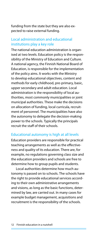funding from the state but they are also expected to raise external funding.

#### Local administration and educational institutions play a key role

The national education administration is organised at two levels. Education policy is the responsibility of the Ministry of Education and Culture. A national agency, the Finnish National Board of Education, is responsible for the implementation of the policy aims. It works with the Ministry to develop educational objectives, content and methods for early childhood, pre-primary, basic, upper secondary and adult education. Local administration is the responsibility of local authorities, most commonly municipalities or joint municipal authorities. These make the decisions on allocation of funding, local curricula, recruitment of personnel. The municipalities have also the autonomy to delegate the decision-making power to the schools. Typically the principals recruit the staff of their schools.

#### Educational autonomy is high at all levels

Education providers are responsible for practical teaching arrangements as well as the effectiveness and quality of its education. There are, for example, no regulations governing class size and the education providers and schools are free to determine how to group pupils and students.

Local authorities determine how much autonomy is passed on to schools. The schools have the right to provide educational services according to their own administrative arrangements and visions, as long as the basic functions, determined by law, are carried out. In many cases for example budget management, acquisitions and recruitment is the responsibility of the schools.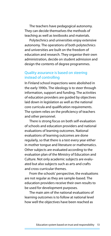The teachers have pedagogical autonomy. They can decide themselves the methods of teaching as well as textbooks and materials.

Polytechnics and universities enjoy extensive autonomy. The operations of both polytechnics and universities are built on the freedom of education and research. They organise their own administration, decide on student admission and design the contents of degree programmes.

#### Quality assurance is based on steering instead of controlling

In Finland school inspections were abolished in the early 1990s. The ideology is to steer through information, support and funding. The activities of education providers are guided by objectives laid down in legislation as well as the national core curricula and qualification requirements. The system relies on the proficiency of teachers and other personnel.

There is strong focus on both self-evaluation of schools and education providers and national evaluations of learning outcomes. National evaluations of learning outcomes are done regularly, so that there is a test every year either in mother tongue and literature or mathematics. Other subjects are evaluated according to the evaluation plan of the Ministry of Education and Culture. Not only academic subjects are evaluated but also subjects such as arts and crafts and cross-curricular themes.

From the schools' perspective, the evaluations are not regular as they are sample-based. The education providers receive their own results to be used for development purposes.

The main aim of the national evaluations of learning outcomes is to follow at national level how well the objectives have been reached as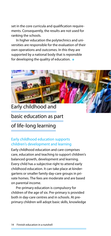set in the core curricula and qualification requirements. Consequently, the results are not used for ranking the schools.

In higher education the polytechnics and universities are responsible for the evaluation of their own operations and outcomes. In this they are supported by a national body that is reponsible for developing the quality of education.  $\bullet$ 



Early childhood and basic education as part

## of life-long learning

#### Early childhood education supports children's development and learning

Early childhood education and care comprises care, education and teaching to support children's balanced growth, development and learning. Every child has a subjective right to attend early childhood education. It can take place at kindergartens or smaller family day-care groups in private homes. The fees are moderate and are based on parental income.

Pre-primary education is compulsory for children of the age of six. Pre-primary is provided both in day-care centres and in schools. At preprimary children will adopt basic skills, knowledge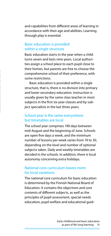and capabilities from different areas of learning in accordance with their age and abilities. Learning through play is essential.

#### Basic education is provided within a single structure

Basic education starts in the year when a child turns seven and lasts nine years. Local authorities assign a school place to each pupil close to their homes, but parents are free to choose the comprehensive school of their preference, with some restrictions.

Basic education is provided within a single structure, that is, there is no division into primary and lower secondary education. Instruction is usually given by the same class teacher in most subjects in the first six year-classes and by subject specialists in the last three years.

#### School year is the same everywhere but timetables are local

The school year comprises 190 days between mid-August and the beginning of June. Schools are open five days a week, and the minimum number of lessons per week varies from 19 to 30, depending on the level and number of optional subjects taken. Daily and weekly timetables are decided in the schools. In addition, there is local autonomy concerning extra holidays.

#### National core curriculum leaves room for local variations

The national core curriculum for basic education is determined by the Finnish National Board of Education. It contains the objectives and core contents of different subjects, as well as the principles of pupil assessment, special needs education, pupil welfare and educational guid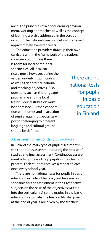ance. The principles of a good learning environment, working approaches as well as the concept of learning are also addressed in the core curriculum. The national core curriculum is renewed approximately every ten years.

The education providers draw up their own curricula within the framework of the national core curriculum. Thus there is room for local or regional specificities. All local curricula must, however, define the values, underlying principles, as well as general educational and teaching objectives. Also questions such as the language programme and the local lesson-hour distribution must be addressed. Further, cooperation with homes and instruction of pupils requiring special support or belonging to different language and cultural groups should be defined.

There are no national tests for pupils in basic education in Finland.

#### Assessment is part of daily schoolwork

In Finland the main type of pupil assessment is the continuous assessment during the course of studies and final assessment. Continuous assessment is to guide and help pupils in their learning process. Each student receives a report at least once every school year.

There are no national tests for pupils in basic education in Finland. Instead, teachers are responsible for the assessment in their respective subjects on the basis of the objectives written into the curriculum. Also the grades in the basic education certificate, the final certificate given at the end of year 9, are given by the teachers.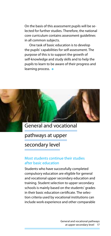On the basis of this assessment pupils will be selected for further studies. Therefore, the national core curriculum contains assessment guidelines in all common subjects.

One task of basic education is to develop the pupils' capabilities for self-assessment. The purpose of this is to support the growth of self-knowledge and study skills and to help the pupils to learn to be aware of their progress and learning process. •



General and vocational

pathways at upper

secondary level

#### Most students continue their studies after basic education

Students who have successfully completed compulsory education are eligible for general and vocational upper secondary education and training. Student selection to upper secondary schools is mainly based on the students' grades in their basic education certificate. The selection criteria used by vocational institutions can include work experience and other comparable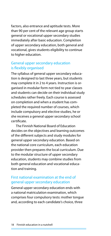factors, also entrance and aptitude tests. More than 90 per cent of the relevant age group starts general or vocational upper secondary studies immediately after basic education. Completion of upper secondary education, both general and vocational, gives students eligibility to continue to higher education.

#### General upper secondary education is flexibly organised

The syllabus of general upper secondary education is designed to last three years, but students may complete it in 2 to 4 years. Instruction is organised in modular form not tied to year classes and students can decide on their individual study schedules rather freely. Each course is assessed on completion and when a student has completed the required number of courses, which include compulsory and elective studies, he or she receives a general upper secondary school certificate.

The Finnish National Board of Education decides on the objectives and learning outcomes of the different subjects and study modules for general upper secondary education. Based on the national core curriculum, each education provider then prepares the local curriculum. Due to the modular structure of upper secondary education, students may combine studies from both general education and vocational education and training.

#### First national examination at the end of general upper secondary education

General upper secondary education ends with a national matriculation examination, which comprises four compulsory tests: mother tongue and, according to each candidate's choice, three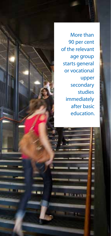More than 90 per cent of the relevant age group starts general or vocational upper secondary studies immediately after basic education.

**MARK SAMPLES**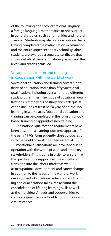of the following: the second national language, a foreign language, mathematics or one subject in general studies, such as humanities and natural sciences. Students may also include optional tests. Having completed the matriculation examination and the entire upper secondary school syllabus, students are awarded a separate certificate that shows details of the examinations passed and the levels and grades achieved.

#### Vocational education and training in cooperation with the world of work

Vocational education and training covers eight fields of education, more than fifty vocational qualifications including over a hundred different study programmes. The scope of vocational qualifications is three years of study and each qualification includes at least half a year of on-the-job learning in workplaces. Vocational education and training can be completed in the form of schoolbased training or apprenticeship training.

The national qualification requirements have been based on a learning-outcome approach from the early 1990s. Consequently close co-operation with the world of work has been essential.

Vocational qualifications are developed in cooperation with the world of work and other key stakeholders. This is done in order to ensure that the qualifications support flexible and efficient transition into the labour market as well as occupational development and career change. In addition to the needs of the world of work, development of vocational education and training and qualifications takes into account the consolidation of lifelong learning skills as well as the individuals' needs and opportunities to complete qualifications flexibly to suit their own circumstances.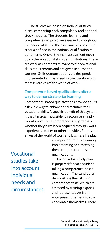The studies are based on individual study plans, comprising both compulsory and optional study modules. The students' learning and competences acquired are assessed throughout the period of study. The assessment is based on criteria defined in the national qualification requirements. One of the main assessment methods is the vocational skills demonstrations. These are work assignments relevant to the vocational skills requirements and are given in authentic settings. Skills demonstrations are designed, implemented and assessed in co-operation with representatives of the world of work.

#### Competence-based qualifications offer a way to demonstrate prior learning

Competence-based qualifications provide adults a flexible way to enhance and maintain their vocational skills. A specific benefit of this system is that it makes it possible to recognise an individual's vocational competences regardless of whether they have been acquired through work experience, studies or other activities. Representatives of the world of work and business life play

Vocational studies take into account individual needs and circumstances. an important role in planning, implementing and assessing these competence- based qualifications.

An individual study plan is prepared for each student taking a competence-based qualification. The candidates demonstrate their skills in competence tests, which are assessed by training experts and representatives from enterprises together with the candidates themselves. There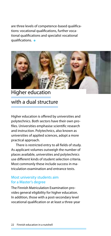are three levels of competence-based qualifications: vocational qualifications, further vocational qualifications and specialist vocational qualifications.  $\bullet$ 



# Higher education with a dual structure

Higher education is offered by universities and polytechnics. Both sectors have their own profiles. Universities emphasise scientific research and instruction. Polytechnics, also known as universities of applied sciences, adopt a more practical approach.

There is restricted entry to all fields of study. As applicant volumes outweigh the number of places available, universities and polytechnics use different kinds of student selection criteria. Most commonly these include success in matriculation examination and entrance tests.

#### Most university students aim for a Master's degree

The Finnish Matriculation Examination provides general eligibility for higher education. In addition, those with a post-secondary level vocational qualification or at least a three-year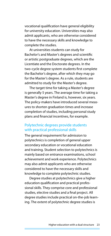vocational qualification have general eligibility for university education. Universities may also admit applicants, who are otherwise considered to have the necessary skills and knowledge to complete the studies.

At universities students can study for Bachelor's and Master's degrees and scientific or artistic postgraduate degrees, which are the Licentiate and the Doctorate degrees. In the two-cycle degree system students first complete the Bachelor's degree, after which they may go for the Master's degree. As a rule, students are admitted to study for the Master's degree.

The target time for taking a Master's degree is generally 5 years. The average time for taking a Master's degree in Finland is, however, six years. The policy-makers have introduced several measures to shorten graduation times and increase completion of studies, including personal study plans and financial incentives, for example.

#### Polytechnic degrees provide students with practical professional skills

The general requirement for admission to polytechnics is completion of general upper secondary education or vocational education and training. Student selection to polytechnics is mainly based on entrance examinations, school achievement and work experience. Polytechnics may also admit applicants who are otherwise considered to have the necessary skills and knowledge to complete polytechnic studies.

Degree studies at polytechnics give a higher education qualification and practical professional skills. They comprise core and professional studies, elective studies and a final project. All degree studies include practical on-the-job learning. The extent of polytechnic degree studies is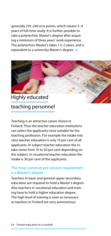generally 210–240 ects points, which means 3–4 years of full-time study. It is further possible to take a polytechnic Master's degree after acquiring a minimum of three years' work experience. The polytechnic Master's takes 1.5–2 years, and is equivalent to a university Master's degree.  $\bullet$ 



# teaching personnel

Teaching is an attractive career choice in Finland. Thus the teacher education institutions can select the applicants most suitable for the teaching profession. For example the intake into class teacher education is only 10 per cent of all applicants. In subject teacher education the intake varies from 10 to 50 per cent depending on the subject. In vocational teacher education the intake is 30 per cent of the applicants.

#### The most common pre-service requirement is a Master's degree

Teachers in basic and general upper secondary education are required to hold a Master's degree. Also teachers in vocational education and training have to hold a higher education degree. The high level of training is seen as necessary as teachers in Finland are very autonomous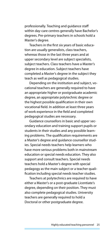professionally. Teaching and guidance staff within day-care centres generally have Bachelor's degrees. Pre-primary teachers in schools hold a Master's degree.

Teachers in the first six years of basic education are usually generalists, class teachers, whereas those in the last three years and at upper secondary level are subject specialists, subject teachers. Class teachers have a Master's degree in education. Subject teachers have completed a Master's degree in the subject they teach as well as pedagogical studies.

Depending on the institution and subject, vocational teachers are generally required to have an appropriate higher or postgraduate academic degree, an appropriate polytechnic degree or the highest possible qualification in their own vocational field. In addition at least three years of work experience in the field and completed pedagogical studies are necessary.

Guidance counsellors in basic and upper secondary education and training support pupils or students in their studies and any possible learning problems. The qualification requirements are a Master's degree and guidance counsellor studies. Special needs teachers help learners who have more serious problems both in mainstream education or special needs education. They also support and consult teachers. Special needs teachers hold a Master's degree with special pedagogy as the main subject or a teacher qualification including special needs teacher studies.

Teachers at polytechnics are required to have either a Master's or a post-graduate Licentiate's degree, depending on their position. They must also complete pedagogical studies. University teachers are generally required to hold a Doctoral or other postgraduate degree.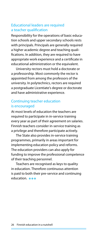#### Educational leaders are required a teacher qualification

Responsibility for the operations of basic education schools and upper secondary schools rests with principals. Principals are generally required a higher academic degree and teaching qualifications. In addition, they are required to have appropriate work experience and a certificate in educational administration or the equivalent.

University rectors must hold a doctorate or a professorship. Most commonly the rector is appointed from among the professors of the university. In polytechnics, rectors are required a postgraduate Licentiate's degree or doctorate and have administrative experience.

#### Continuing teacher education is encouraged

At most levels of education the teachers are required to participate in in-service training every year as part of their agreement on salaries. Finnish teachers consider in-service training as a privilege and therefore participate actively.

The State also provides in-service training programmes, primarily in areas important for implementing education policy and reforms. The education providers can also apply for funding to improve the professional competence of their teaching personnel.

Teachers are recognised as keys to quality in education. Therefore continuous attention is paid to both their pre-service and continuing education. **Analy**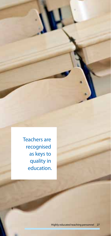Teachers are recognised as keys to quality in education.